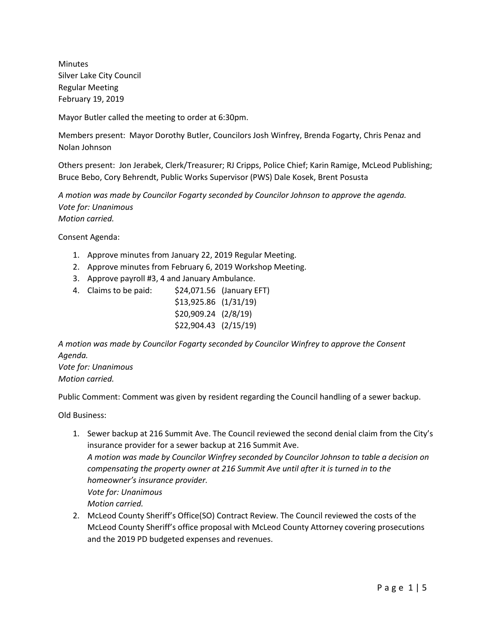Minutes Silver Lake City Council Regular Meeting February 19, 2019

Mayor Butler called the meeting to order at 6:30pm.

Members present: Mayor Dorothy Butler, Councilors Josh Winfrey, Brenda Fogarty, Chris Penaz and Nolan Johnson

Others present: Jon Jerabek, Clerk/Treasurer; RJ Cripps, Police Chief; Karin Ramige, McLeod Publishing; Bruce Bebo, Cory Behrendt, Public Works Supervisor (PWS) Dale Kosek, Brent Posusta

*A motion was made by Councilor Fogarty seconded by Councilor Johnson to approve the agenda. Vote for: Unanimous Motion carried.*

Consent Agenda:

- 1. Approve minutes from January 22, 2019 Regular Meeting.
- 2. Approve minutes from February 6, 2019 Workshop Meeting.
- 3. Approve payroll #3, 4 and January Ambulance.
- 4. Claims to be paid: \$24,071.56 (January EFT)
	- \$13,925.86 (1/31/19) \$20,909.24 (2/8/19) \$22,904.43 (2/15/19)

*A motion was made by Councilor Fogarty seconded by Councilor Winfrey to approve the Consent Agenda.*

*Vote for: Unanimous Motion carried.*

Public Comment: Comment was given by resident regarding the Council handling of a sewer backup.

Old Business:

- 1. Sewer backup at 216 Summit Ave. The Council reviewed the second denial claim from the City's insurance provider for a sewer backup at 216 Summit Ave. *A motion was made by Councilor Winfrey seconded by Councilor Johnson to table a decision on compensating the property owner at 216 Summit Ave until after it is turned in to the homeowner's insurance provider. Vote for: Unanimous Motion carried.*
- 2. McLeod County Sheriff's Office(SO) Contract Review. The Council reviewed the costs of the McLeod County Sheriff's office proposal with McLeod County Attorney covering prosecutions and the 2019 PD budgeted expenses and revenues.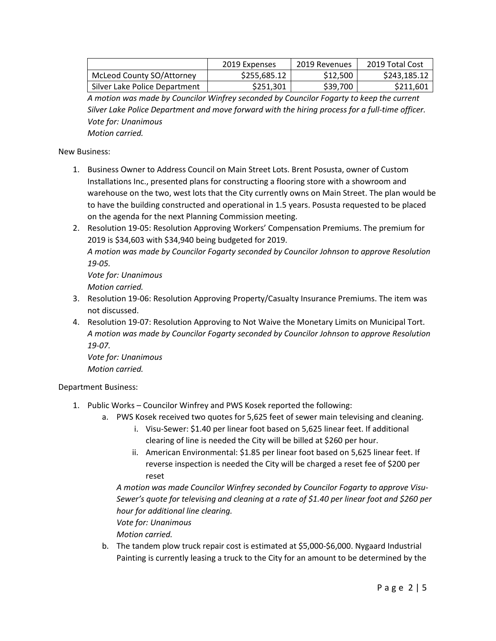|                                  | 2019 Expenses | 2019 Revenues        | 2019 Total Cost |
|----------------------------------|---------------|----------------------|-----------------|
| <b>McLeod County SO/Attorney</b> | \$255.685.12  | S <sub>12</sub> .500 | \$243.185.12    |
| Silver Lake Police Department    | \$251,301     | \$39,700             | \$211,601       |

*A motion was made by Councilor Winfrey seconded by Councilor Fogarty to keep the current Silver Lake Police Department and move forward with the hiring process for a full-time officer. Vote for: Unanimous*

*Motion carried.* 

New Business:

- 1. Business Owner to Address Council on Main Street Lots. Brent Posusta, owner of Custom Installations Inc., presented plans for constructing a flooring store with a showroom and warehouse on the two, west lots that the City currently owns on Main Street. The plan would be to have the building constructed and operational in 1.5 years. Posusta requested to be placed on the agenda for the next Planning Commission meeting.
- 2. Resolution 19-05: Resolution Approving Workers' Compensation Premiums. The premium for 2019 is \$34,603 with \$34,940 being budgeted for 2019.

*A motion was made by Councilor Fogarty seconded by Councilor Johnson to approve Resolution 19-05.* 

*Vote for: Unanimous Motion carried.*

- 3. Resolution 19-06: Resolution Approving Property/Casualty Insurance Premiums. The item was not discussed.
- 4. Resolution 19-07: Resolution Approving to Not Waive the Monetary Limits on Municipal Tort. *A motion was made by Councilor Fogarty seconded by Councilor Johnson to approve Resolution 19-07. Vote for: Unanimous*

*Motion carried.* 

Department Business:

- 1. Public Works Councilor Winfrey and PWS Kosek reported the following:
	- a. PWS Kosek received two quotes for 5,625 feet of sewer main televising and cleaning.
		- i. Visu-Sewer: \$1.40 per linear foot based on 5,625 linear feet. If additional clearing of line is needed the City will be billed at \$260 per hour.
		- ii. American Environmental: \$1.85 per linear foot based on 5,625 linear feet. If reverse inspection is needed the City will be charged a reset fee of \$200 per reset

*A motion was made Councilor Winfrey seconded by Councilor Fogarty to approve Visu-Sewer's quote for televising and cleaning at a rate of \$1.40 per linear foot and \$260 per hour for additional line clearing.* 

*Vote for: Unanimous Motion carried.*

b. The tandem plow truck repair cost is estimated at \$5,000-\$6,000. Nygaard Industrial Painting is currently leasing a truck to the City for an amount to be determined by the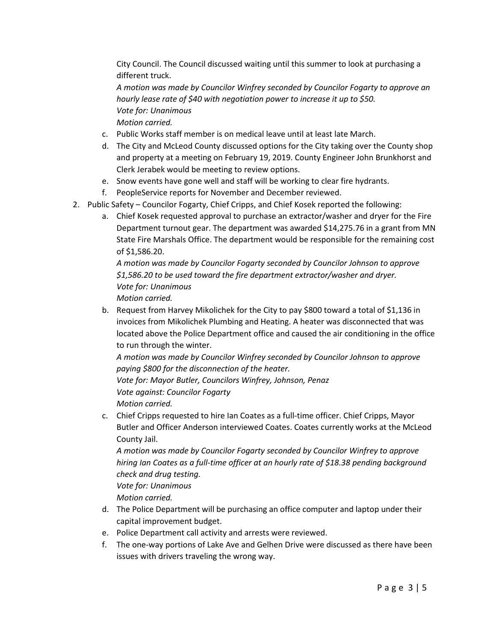City Council. The Council discussed waiting until this summer to look at purchasing a different truck.

*A motion was made by Councilor Winfrey seconded by Councilor Fogarty to approve an hourly lease rate of \$40 with negotiation power to increase it up to \$50. Vote for: Unanimous Motion carried.*

- c. Public Works staff member is on medical leave until at least late March.
- d. The City and McLeod County discussed options for the City taking over the County shop and property at a meeting on February 19, 2019. County Engineer John Brunkhorst and Clerk Jerabek would be meeting to review options.
- e. Snow events have gone well and staff will be working to clear fire hydrants.
- f. PeopleService reports for November and December reviewed.
- 2. Public Safety Councilor Fogarty, Chief Cripps, and Chief Kosek reported the following:
	- a. Chief Kosek requested approval to purchase an extractor/washer and dryer for the Fire Department turnout gear. The department was awarded \$14,275.76 in a grant from MN State Fire Marshals Office. The department would be responsible for the remaining cost of \$1,586.20.

*A motion was made by Councilor Fogarty seconded by Councilor Johnson to approve \$1,586.20 to be used toward the fire department extractor/washer and dryer. Vote for: Unanimous*

*Motion carried.*

b. Request from Harvey Mikolichek for the City to pay \$800 toward a total of \$1,136 in invoices from Mikolichek Plumbing and Heating. A heater was disconnected that was located above the Police Department office and caused the air conditioning in the office to run through the winter.

*A motion was made by Councilor Winfrey seconded by Councilor Johnson to approve paying \$800 for the disconnection of the heater.* 

*Vote for: Mayor Butler, Councilors Winfrey, Johnson, Penaz Vote against: Councilor Fogarty*

*Motion carried.* 

c. Chief Cripps requested to hire Ian Coates as a full-time officer. Chief Cripps, Mayor Butler and Officer Anderson interviewed Coates. Coates currently works at the McLeod County Jail.

*A motion was made by Councilor Fogarty seconded by Councilor Winfrey to approve hiring Ian Coates as a full-time officer at an hourly rate of \$18.38 pending background check and drug testing.* 

*Vote for: Unanimous*

*Motion carried.*

- d. The Police Department will be purchasing an office computer and laptop under their capital improvement budget.
- e. Police Department call activity and arrests were reviewed.
- f. The one-way portions of Lake Ave and Gelhen Drive were discussed as there have been issues with drivers traveling the wrong way.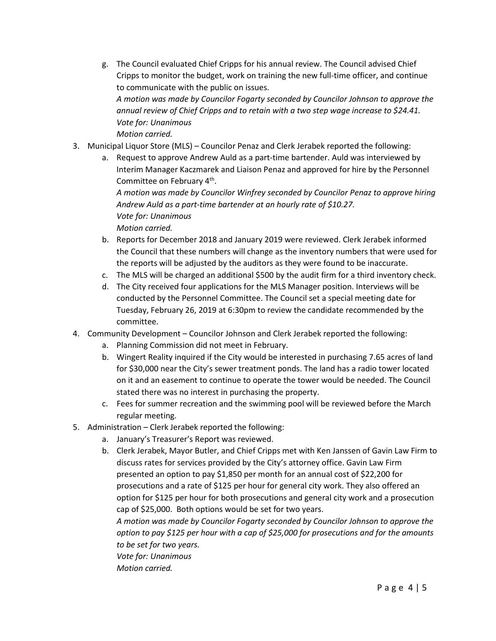g. The Council evaluated Chief Cripps for his annual review. The Council advised Chief Cripps to monitor the budget, work on training the new full-time officer, and continue to communicate with the public on issues.

*A motion was made by Councilor Fogarty seconded by Councilor Johnson to approve the annual review of Chief Cripps and to retain with a two step wage increase to \$24.41. Vote for: Unanimous Motion carried.* 

- 3. Municipal Liquor Store (MLS) Councilor Penaz and Clerk Jerabek reported the following:
	- a. Request to approve Andrew Auld as a part-time bartender. Auld was interviewed by Interim Manager Kaczmarek and Liaison Penaz and approved for hire by the Personnel Committee on February 4th.

*A motion was made by Councilor Winfrey seconded by Councilor Penaz to approve hiring Andrew Auld as a part-time bartender at an hourly rate of \$10.27. Vote for: Unanimous Motion carried.*

- b. Reports for December 2018 and January 2019 were reviewed. Clerk Jerabek informed the Council that these numbers will change as the inventory numbers that were used for the reports will be adjusted by the auditors as they were found to be inaccurate.
- c. The MLS will be charged an additional \$500 by the audit firm for a third inventory check.
- d. The City received four applications for the MLS Manager position. Interviews will be conducted by the Personnel Committee. The Council set a special meeting date for Tuesday, February 26, 2019 at 6:30pm to review the candidate recommended by the committee.
- 4. Community Development Councilor Johnson and Clerk Jerabek reported the following:
	- a. Planning Commission did not meet in February.
	- b. Wingert Reality inquired if the City would be interested in purchasing 7.65 acres of land for \$30,000 near the City's sewer treatment ponds. The land has a radio tower located on it and an easement to continue to operate the tower would be needed. The Council stated there was no interest in purchasing the property.
	- c. Fees for summer recreation and the swimming pool will be reviewed before the March regular meeting.
- 5. Administration Clerk Jerabek reported the following:
	- a. January's Treasurer's Report was reviewed.
	- b. Clerk Jerabek, Mayor Butler, and Chief Cripps met with Ken Janssen of Gavin Law Firm to discuss rates for services provided by the City's attorney office. Gavin Law Firm presented an option to pay \$1,850 per month for an annual cost of \$22,200 for prosecutions and a rate of \$125 per hour for general city work. They also offered an option for \$125 per hour for both prosecutions and general city work and a prosecution cap of \$25,000. Both options would be set for two years.

*A motion was made by Councilor Fogarty seconded by Councilor Johnson to approve the option to pay \$125 per hour with a cap of \$25,000 for prosecutions and for the amounts to be set for two years. Vote for: Unanimous*

*Motion carried.*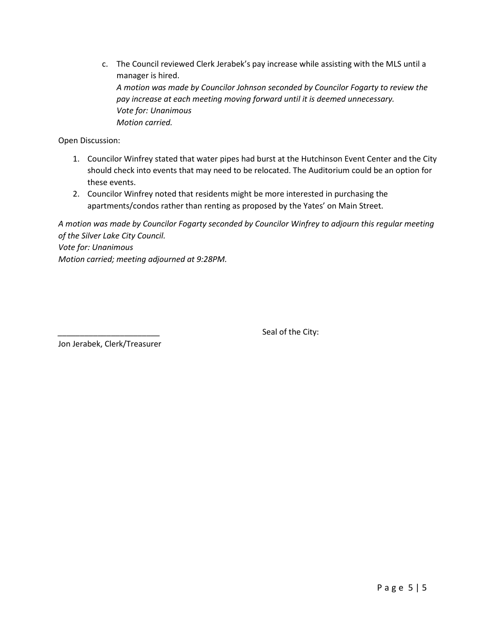c. The Council reviewed Clerk Jerabek's pay increase while assisting with the MLS until a manager is hired. *A motion was made by Councilor Johnson seconded by Councilor Fogarty to review the pay increase at each meeting moving forward until it is deemed unnecessary. Vote for: Unanimous Motion carried.*

Open Discussion:

- 1. Councilor Winfrey stated that water pipes had burst at the Hutchinson Event Center and the City should check into events that may need to be relocated. The Auditorium could be an option for these events.
- 2. Councilor Winfrey noted that residents might be more interested in purchasing the apartments/condos rather than renting as proposed by the Yates' on Main Street.

*A motion was made by Councilor Fogarty seconded by Councilor Winfrey to adjourn this regular meeting of the Silver Lake City Council. Vote for: Unanimous Motion carried; meeting adjourned at 9:28PM.*

Seal of the City:

Jon Jerabek, Clerk/Treasurer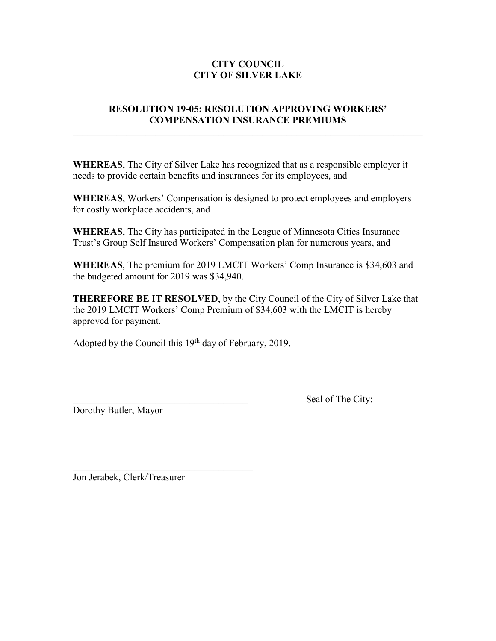# **CITY COUNCIL CITY OF SILVER LAKE**

# **RESOLUTION 19-05: RESOLUTION APPROVING WORKERS' COMPENSATION INSURANCE PREMIUMS**

 $\mathcal{L}_\text{max} = \mathcal{L}_\text{max} = \mathcal{L}_\text{max} = \mathcal{L}_\text{max} = \mathcal{L}_\text{max} = \mathcal{L}_\text{max} = \mathcal{L}_\text{max} = \mathcal{L}_\text{max} = \mathcal{L}_\text{max} = \mathcal{L}_\text{max} = \mathcal{L}_\text{max} = \mathcal{L}_\text{max} = \mathcal{L}_\text{max} = \mathcal{L}_\text{max} = \mathcal{L}_\text{max} = \mathcal{L}_\text{max} = \mathcal{L}_\text{max} = \mathcal{L}_\text{max} = \mathcal{$ 

**WHEREAS**, The City of Silver Lake has recognized that as a responsible employer it needs to provide certain benefits and insurances for its employees, and

**WHEREAS**, Workers' Compensation is designed to protect employees and employers for costly workplace accidents, and

**WHEREAS**, The City has participated in the League of Minnesota Cities Insurance Trust's Group Self Insured Workers' Compensation plan for numerous years, and

**WHEREAS**, The premium for 2019 LMCIT Workers' Comp Insurance is \$34,603 and the budgeted amount for 2019 was \$34,940.

**THEREFORE BE IT RESOLVED**, by the City Council of the City of Silver Lake that the 2019 LMCIT Workers' Comp Premium of \$34,603 with the LMCIT is hereby approved for payment.

Adopted by the Council this 19<sup>th</sup> day of February, 2019.

Dorothy Butler, Mayor

Seal of The City:

Jon Jerabek, Clerk/Treasurer

 $\mathcal{L}_\text{max}$  and  $\mathcal{L}_\text{max}$  and  $\mathcal{L}_\text{max}$  and  $\mathcal{L}_\text{max}$